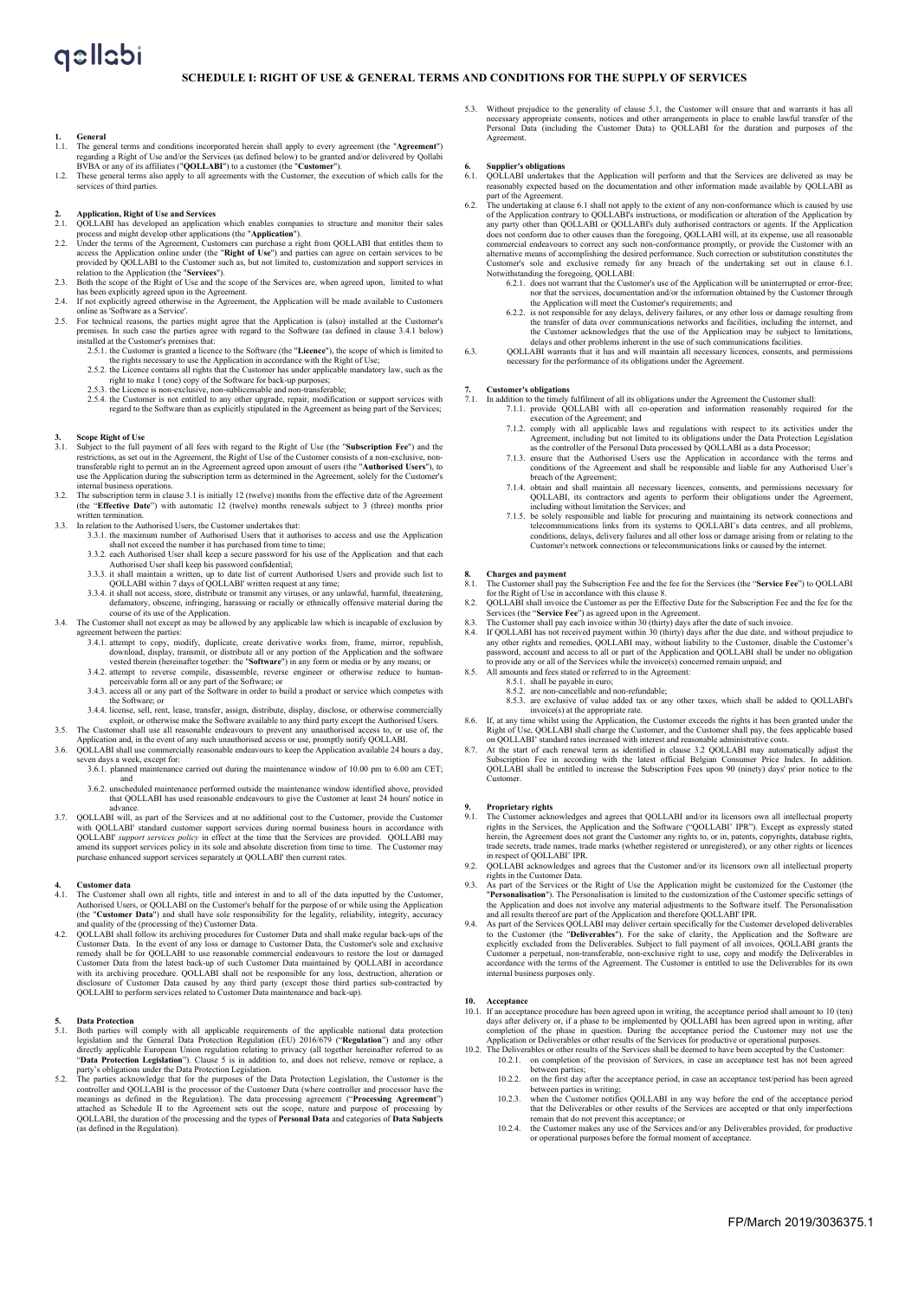## **SCHEDULE I: RIGHT OF USE & GENERAL TERMS AND CONDITIONS FOR THE SUPPLY OF SERVICES**

- **1.** General terms and conditions incorporated herein shall apply to every agreement (the "Agreement") regarding a Right of Use and/or the Services (as defined below) to be granted and/or delivered by Qollabi By Pa any of
- Services of third parties.<br>These general terms also apply to all agreements with the Customer, the execution of which calls for the<br>services of third parties.
- 
- 
- **2. Application, Right of Use and Services**<br> **2. Application**, **Right of Use and Services**<br>  $\text{COLLABI}$  has developed an application which enables companies to structure and monitor their sales<br>
process and might devel
- 
- has been explicitly agreed upon in the Agreement.<br>2.4. If not explicitly agreed otherwise in the Agreement, the Application will be made available to Customers<br>2.5. For technical reasons, the parties might agree that the A
- premises. In such case the parties agree with regard to the Software (as defined in clause 3.4.1 below) installed at the Customer's premises that:<br>2.5.1. the Customer's premises that:<br>2.5.1. the Customer is granted a licen
	-
	-
	-
	- 2.5.2. the Licence contains all rights that the Customer has under applicable mandatory law, such as the right to make 1 (one) copy of the Software for back-up purposes;<br>2.5.3. the Licence is non-exclusive, non-sublicensab

- **3. Scope Right of Use** 3.1. Subject to the full payment of all fees with regard to the Right of Use (the "**Subscription Fee**") and the restrictions, as set out in the Agreement, the Right of Use of the Customer consists of a non-exclusive, non-<br>transferable right to permit an in the Agreement agreed upon amount of users (the "**Authorised Users"**), to<br>use internal business operations.
- 3.2. The subscription term in clause 3.1 is initially 12 (twelve) months from the effective date of the Agreement (the "**Effective Date**") with automatic 12 (twelve) months renewals subject to 3 (three) months prior en termination
- 3.3. In relation to the Authorised Users, the Customer undertakes that:
	- 3.3.1. the maximum number of Authorised Users that it authorises to access and use the Application
	- shall not exceed the number it has purchased from time to time; 3.3.2. each Authorised User shall keep a secure password for his use of the Application and that each Authorised User shall keep his password confidential;
	- 3.3.3. it shall maintain a written, up to date list of current Authorised Users and provide such list to QOLLABI within 7 days of QOLLABI written request at any time;<br>3.3.4. it shall not access, store, distribute or transm
	-
- course of its use of the Application.<br>
3.4. The Customer shall not except as may be allowed by any applicable law which is incapable of exclusion by<br>
agreement between the parties:
	- 3.4.1. attempt to copy, modify, duplicate, create derivative works from, frame, mirror, republish, download, display, transmit, or distribute all or any portion of the Application and the software vested therein (hereinfer
	- perceivable form all or any part of the Software; or 3.4.3. access all or any part of the Software in order to build a product or service which competes with
	-
	- the Software; or<br>3.4.4. license, sell, rent, lease, transfer, assign, distribute, display, disclose, or otherwise commercially<br>exploit, or otherwise make the Software available to any third party except the Authorised User
- 3.5. The Customer shall use all reasonable endeavours to prevent any unauthorised access to, or use of, the Application and, in the event of any such unauthorised access or use, promptly notify QOLLABI.<br>3.6. QOLLABI shall
	- seven days a week, except for:<br>3.6.1. planned maintenance <sup>2.644</sup> rannee carried out during the maintenance window of 10.00 pm to 6.00 am CET;
		- and 3.6.2. unscheduled maintenance performed outside the maintenance window identified above, provided that QOLLABI has used reasonable endeavours to give the Customer at least 24 hours' notice in
- advance.<br>
23.7. QOLLABI uses and at no additional cost to the Customer, provide the Customer with QOLLABI standard customer support services during normal business hours in accordance with QOLLABI' standard customer suppor

## **4. Customer data**

- 4.1. The Customer shall own all rights, title and interest in and to all of the data inputted by the Customer,<br>Authorised Users, or QOLLABI on the Customer's behalf for the purpose of or while using the Application<br>(the "C
- and quality of the (processing of the) Customer Data.<br>4.2. QOLLABI to low its archiving procedures for Customer Data and shall make regular back-ups of the<br>Customer Data. In the event of any loss or damage to Customer Data QOLLABI to perform services related to Customer Data maintenance and back-up).

- **5.** Data Protection legislation in applicable requirements of the applicable national data protection legislation and the General Data Protection Regulation (EU) 2016/679 ("**Regulation**") and any other directly applicabl
- Attached as Schedule II to the Agreement sets out the scope, nature contained as Schedule II to the Agreement sets out the scope, nature and purpose of processing by attached as Schedule II to the Agreement sets out the sc QOLLABI, the duration of the processing and the types of **Personal Data** and categories of **Data Subjects** (as defined in the Regulation).

5.3. Without prejudice to the generality of clause 5.1, the Customer will ensure that and warrants it has all necessary appropriate consents, notices and other arrangements in place to enable lawful transfer of the Personal Data (including the Customer Data) to QOLLABI for the duration and purposes of the **Agreement** 

## **6. Supplier's obligations**

- 6.1. QOLLABI undertakes that the Application will perform and that the Services are delivered as may be reasonably expected based on the documentation and other information made available by QOLLABI as part of the Agreement. 6.2. The undertaking at clause 6.1 shall not apply to the extent of any non-conformance which is caused by use
	- of the Application contrary to QOLLABI's instructions, or modification or alteration of the Application by<br>any party other than QOLLABI's or QOLLABI's duly authorised contractors or agents. If the Application<br>does not conf commercial endeavours to correct any such non-conformance promptly, or provide the Customer with an alternative means of accomplishing the desired performance. Such correction or substitution constitutes the Customer's sol
		- 6.2.1. does not warrant that the Customer's use of the Application will be uninterrupted or error-free;
		- nor that the services, documentation and/or the information obtained by the Customer through<br>the Application will meet the Customer's requirements; and<br>for any delays, delivery failures, or any other loss or damage resulti
- 6.3. QOLLABI warrants that it has and will maintain all necessary licences, consents, and permissions cessary for the performance of its obligations under the Agree

- **7. Customer's obligations** 7.1. In addition to the timely fulfilment of all its obligations under the Agreement the Customer shall:
	- 7.1.1. provide QOLLABI with all co-operation and information reasonably required for the execution of the Agreement; and 7.1.2. comply with all applicable laws and regulations with respect to its activities under the
	-
	- Agreement, including but not limited to its obligations under the Data Protection Legislation<br>as the controller of the Personal Data processed by QOLLABI as a data Processor;<br>7.1.3. ensure that the Authorised Users use the
	-
	- 7.1.4. obtain and shall maintain all necessary licences, consents, and permissions necessary for QOLLABI, its contractors and agents to perform their obligations under the Agreement, including without limitation the Servic

- **8. Charges and payment** 8.1. The Customer shall pay the Subscription Fee and the fee for the Services (the "**Service Fee**") to QOLLABI for the Right of Use in accordance with this clause 8. 8.2. QOLLABI shall invoice the Customer as per the Effective Date for the Subscription Fee and the fee for the
- 
- Services (the "Service Fee") as agreed upon in the Agreement.<br>8.3. The Customer shall pay each invoice within 30 (thirty) days after the date of such invoice.<br>8.4. If QOLLABI has not received payment within 30 (thirty) day
- any other rights and remedies, QOLLABI may, without liability to the Customer, disable the Customer's password, account and access to all or part of the Application and QOLLABI shall be under no obligation to provide any o
	- - 8.5.1. shall be payable in euro; 8.5.2. are non-cancellable and non-refundable;
		-
- 8.5.3. are exclusive of value added tax or any other taxes, which shall be added to QOLLABI's invoice(s) at the appropriate rate.<br>
8.6. If, at any time whilst using the Application, the Customer exceeds the rights it has been granted under the
- 
- Right of Use, QOLLABI shall charge the Customer, and the Customer shall pay, the fees applicable based<br>on QOLLABI' standard rates increased with interest and reasonable administrative costs.<br>At the start of each renewal te

## **9. Proprietary rights**

- 9.1. The Customer acknowledges and agrees that QOLLABI and/or its licensors own all intellectual property<br>rights in the Services, the Application and the Software ("QOLLABI 'IPR"). Except as expressly stated<br>herein, the Ag trade secrets, trade names, trade marks (whether registered or unregistered), or any other rights or licences
- in respect of QOLLABI' IPR. 9.2. QOLLABI acknowledges and agrees that the Customer and/or its licensors own all intellectual property rights in the Customer Data.
- 9.3. As part of the Services or the Right of Use the Application might be customized for the Customer (the "Personalisation"). The Personalisation is limited to the customization of the Customer specific settings of the Ap
- 9.4. As part of the Services QOLLABI may deliver certain specifically for the Customer developed deliverables<br>to the Customer (the "Deliverables"). For the sake of clarity, the Application and the Software are<br>explicitly e internal business purposes only.

## **10. Acceptance**

- 10.1. If an acceptance procedure has been agreed upon in writing, the acceptance period shall amount to 10 (ten) days after delivery or, if a phase to be implemented by QOLLABI has been agreed upon in writing, after comple
	- - 10.2.1. on completion of the provision of Services, in case an acceptance test has not been agreed between parties; 10.2.2. on the first day after the acceptance period, in case an acceptance test/period has been agreed
		- between parties in writing;<br>
		10.2.3. when the Customer notifies QOLLABI in any way before the end of the acceptance period<br>
		that the Deliverables or other results of the Services are accepted or that only imperfections
		- remain that do not prevent this acceptance; or 10.2.4. the Customer makes any use of the Services and/or any Deliverables provided, for productive or operational purposes before the formal moment of acceptance.